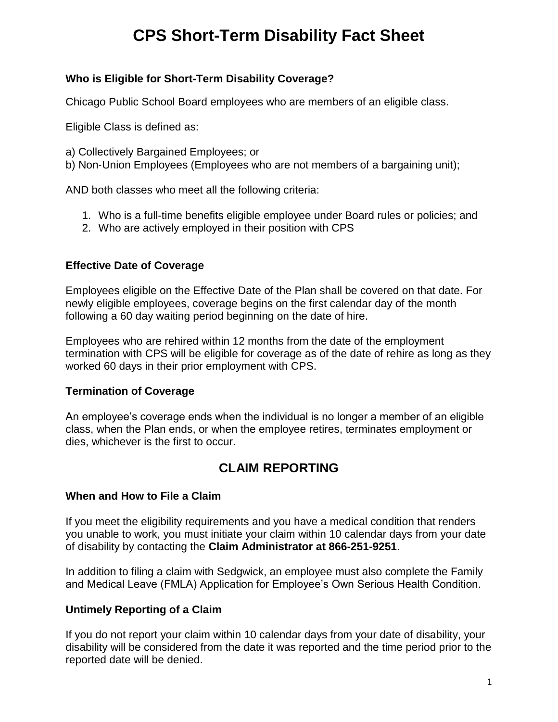# **CPS Short-Term Disability Fact Sheet**

#### **Who is Eligible for Short-Term Disability Coverage?**

Chicago Public School Board employees who are members of an eligible class.

Eligible Class is defined as:

- a) Collectively Bargained Employees; or
- b) Non-Union Employees (Employees who are not members of a bargaining unit);

AND both classes who meet all the following criteria:

- 1. Who is a full-time benefits eligible employee under Board rules or policies; and
- 2. Who are actively employed in their position with CPS

#### **Effective Date of Coverage**

Employees eligible on the Effective Date of the Plan shall be covered on that date. For newly eligible employees, coverage begins on the first calendar day of the month following a 60 day waiting period beginning on the date of hire.

Employees who are rehired within 12 months from the date of the employment termination with CPS will be eligible for coverage as of the date of rehire as long as they worked 60 days in their prior employment with CPS.

#### **Termination of Coverage**

An employee's coverage ends when the individual is no longer a member of an eligible class, when the Plan ends, or when the employee retires, terminates employment or dies, whichever is the first to occur.

## **CLAIM REPORTING**

#### **When and How to File a Claim**

If you meet the eligibility requirements and you have a medical condition that renders you unable to work, you must initiate your claim within 10 calendar days from your date of disability by contacting the **Claim Administrator at 866-251-9251**.

In addition to filing a claim with Sedgwick, an employee must also complete the Family and Medical Leave (FMLA) Application for Employee's Own Serious Health Condition.

#### **Untimely Reporting of a Claim**

If you do not report your claim within 10 calendar days from your date of disability, your disability will be considered from the date it was reported and the time period prior to the reported date will be denied.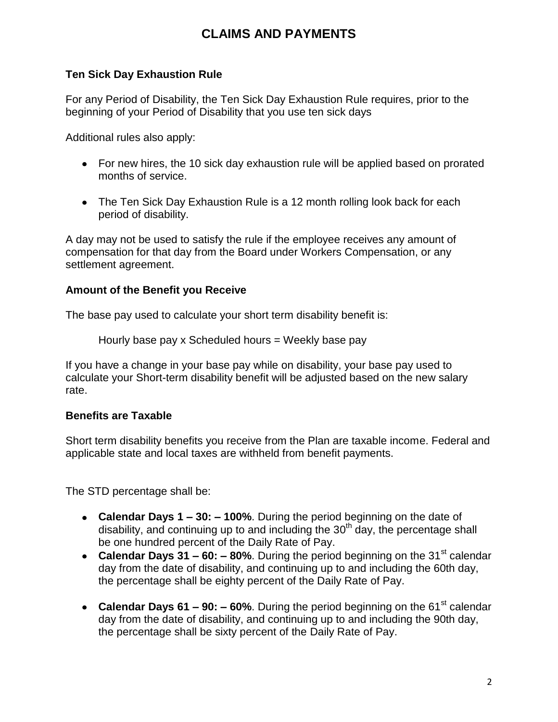# **CLAIMS AND PAYMENTS**

#### **Ten Sick Day Exhaustion Rule**

For any Period of Disability, the Ten Sick Day Exhaustion Rule requires, prior to the beginning of your Period of Disability that you use ten sick days

Additional rules also apply:

- For new hires, the 10 sick day exhaustion rule will be applied based on prorated months of service.
- The Ten Sick Day Exhaustion Rule is a 12 month rolling look back for each period of disability.

A day may not be used to satisfy the rule if the employee receives any amount of compensation for that day from the Board under Workers Compensation, or any settlement agreement.

#### **Amount of the Benefit you Receive**

The base pay used to calculate your short term disability benefit is:

Hourly base pay x Scheduled hours = Weekly base pay

If you have a change in your base pay while on disability, your base pay used to calculate your Short-term disability benefit will be adjusted based on the new salary rate.

#### **Benefits are Taxable**

Short term disability benefits you receive from the Plan are taxable income. Federal and applicable state and local taxes are withheld from benefit payments.

The STD percentage shall be:

- **Calendar Days 1 – 30: – 100%**. During the period beginning on the date of disability, and continuing up to and including the 30<sup>th</sup> day, the percentage shall be one hundred percent of the Daily Rate of Pay.
- **Calendar Days 31 60: 80%**. During the period beginning on the 31<sup>st</sup> calendar day from the date of disability, and continuing up to and including the 60th day, the percentage shall be eighty percent of the Daily Rate of Pay.
- **Calendar Days 61 90: 60%**. During the period beginning on the 61<sup>st</sup> calendar day from the date of disability, and continuing up to and including the 90th day, the percentage shall be sixty percent of the Daily Rate of Pay.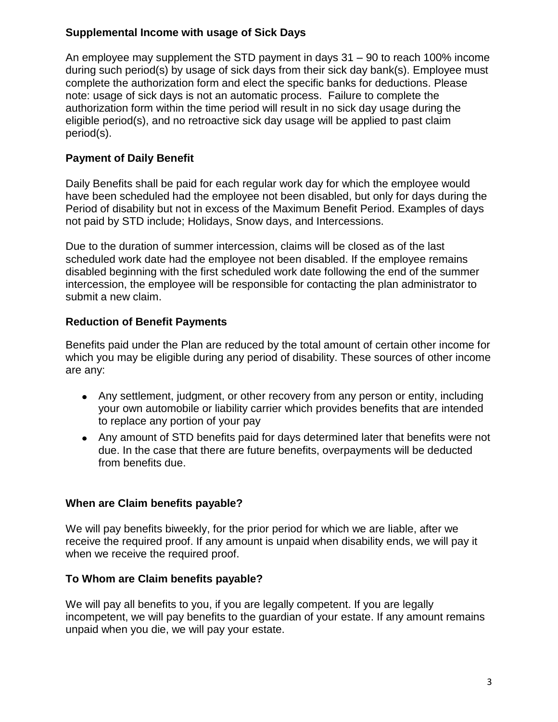## **Supplemental Income with usage of Sick Days**

An employee may supplement the STD payment in days 31 – 90 to reach 100% income during such period(s) by usage of sick days from their sick day bank(s). Employee must complete the authorization form and elect the specific banks for deductions. Please note: usage of sick days is not an automatic process. Failure to complete the authorization form within the time period will result in no sick day usage during the eligible period(s), and no retroactive sick day usage will be applied to past claim period(s).

## **Payment of Daily Benefit**

Daily Benefits shall be paid for each regular work day for which the employee would have been scheduled had the employee not been disabled, but only for days during the Period of disability but not in excess of the Maximum Benefit Period. Examples of days not paid by STD include; Holidays, Snow days, and Intercessions.

Due to the duration of summer intercession, claims will be closed as of the last scheduled work date had the employee not been disabled. If the employee remains disabled beginning with the first scheduled work date following the end of the summer intercession, the employee will be responsible for contacting the plan administrator to submit a new claim.

## **Reduction of Benefit Payments**

Benefits paid under the Plan are reduced by the total amount of certain other income for which you may be eligible during any period of disability. These sources of other income are any:

- Any settlement, judgment, or other recovery from any person or entity, including your own automobile or liability carrier which provides benefits that are intended to replace any portion of your pay
- Any amount of STD benefits paid for days determined later that benefits were not due. In the case that there are future benefits, overpayments will be deducted from benefits due.

#### **When are Claim benefits payable?**

We will pay benefits biweekly, for the prior period for which we are liable, after we receive the required proof. If any amount is unpaid when disability ends, we will pay it when we receive the required proof.

#### **To Whom are Claim benefits payable?**

We will pay all benefits to you, if you are legally competent. If you are legally incompetent, we will pay benefits to the guardian of your estate. If any amount remains unpaid when you die, we will pay your estate.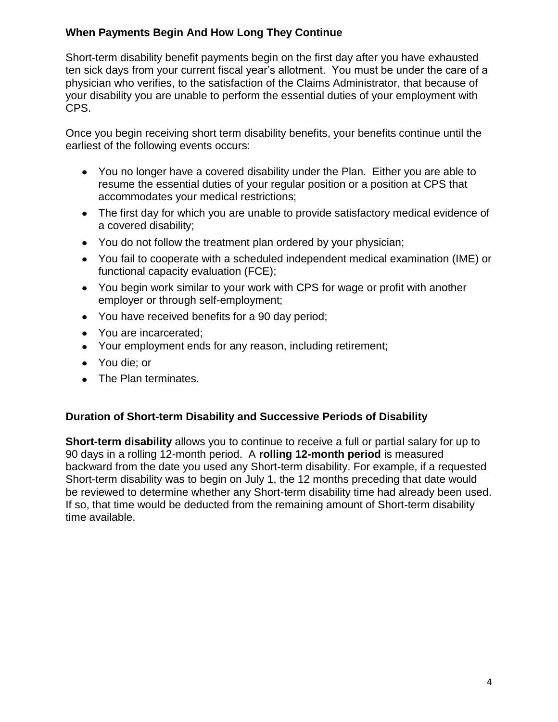## **When Payments Begin And How Long They Continue**

Short-term disability benefit payments begin on the first day after you have exhausted ten sick days from your current fiscal year's allotment. You must be under the care of a physician who verifies, to the satisfaction of the Claims Administrator, that because of your disability you are unable to perform the essential duties of your employment with CPS.

Once you begin receiving short term disability benefits, your benefits continue until the earliest of the following events occurs:

- You no longer have a covered disability under the Plan. Either you are able to resume the essential duties of your regular position or a position at CPS that accommodates your medical restrictions;
- The first day for which you are unable to provide satisfactory medical evidence of a covered disability;
- You do not follow the treatment plan ordered by your physician;
- You fail to cooperate with a scheduled independent medical examination (IME) or functional capacity evaluation (FCE);
- You begin work similar to your work with CPS for wage or profit with another employer or through self-employment;
- You have received benefits for a 90 day period;
- You are incarcerated;
- Your employment ends for any reason, including retirement;
- You die; or
- The Plan terminates.

#### **Duration of Short-term Disability and Successive Periods of Disability**

**Short-term disability** allows you to continue to receive a full or partial salary for up to 90 days in a rolling 12-month period. A **rolling 12-month period** is measured backward from the date you used any Short-term disability. For example, if a requested Short-term disability was to begin on July 1, the 12 months preceding that date would be reviewed to determine whether any Short-term disability time had already been used. If so, that time would be deducted from the remaining amount of Short-term disability time available.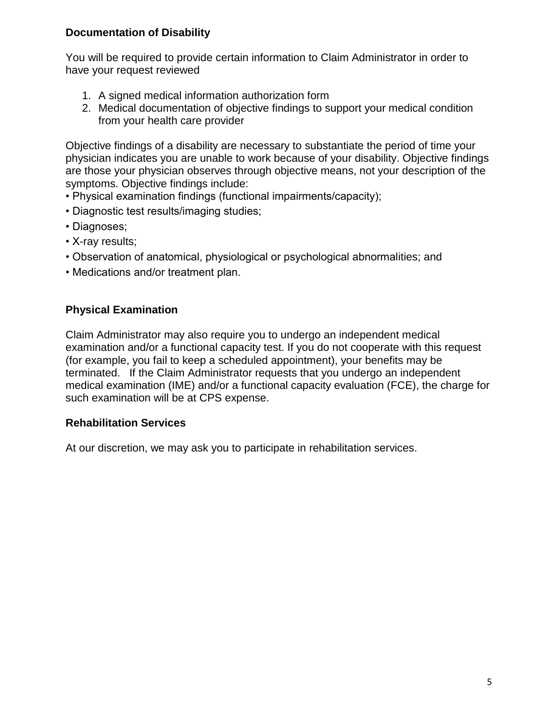#### **Documentation of Disability**

You will be required to provide certain information to Claim Administrator in order to have your request reviewed

- 1. A signed medical information authorization form
- 2. Medical documentation of objective findings to support your medical condition from your health care provider

Objective findings of a disability are necessary to substantiate the period of time your physician indicates you are unable to work because of your disability. Objective findings are those your physician observes through objective means, not your description of the symptoms. Objective findings include:

- Physical examination findings (functional impairments/capacity);
- Diagnostic test results/imaging studies;
- Diagnoses;
- X-ray results;
- Observation of anatomical, physiological or psychological abnormalities; and
- Medications and/or treatment plan.

#### **Physical Examination**

Claim Administrator may also require you to undergo an independent medical examination and/or a functional capacity test. If you do not cooperate with this request (for example, you fail to keep a scheduled appointment), your benefits may be terminated. If the Claim Administrator requests that you undergo an independent medical examination (IME) and/or a functional capacity evaluation (FCE), the charge for such examination will be at CPS expense.

#### **Rehabilitation Services**

At our discretion, we may ask you to participate in rehabilitation services.